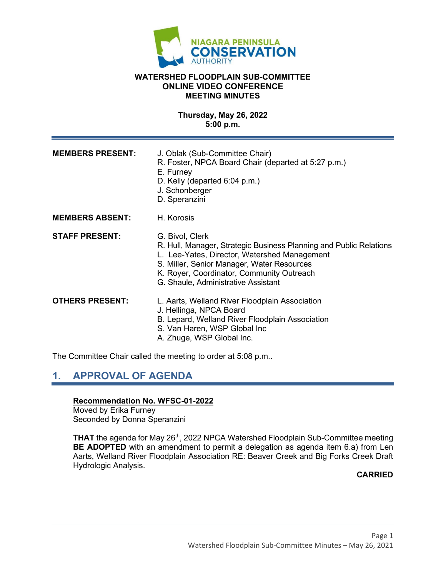

#### **WATERSHED FLOODPLAIN SUB-COMMITTEE ONLINE VIDEO CONFERENCE MEETING MINUTES**

**Thursday, May 26, 2022 5:00 p.m.**

| <b>MEMBERS PRESENT:</b> | J. Oblak (Sub-Committee Chair)<br>R. Foster, NPCA Board Chair (departed at 5:27 p.m.)<br>E. Furney<br>D. Kelly (departed 6:04 p.m.)<br>J. Schonberger<br>D. Speranzini                                                                                                  |
|-------------------------|-------------------------------------------------------------------------------------------------------------------------------------------------------------------------------------------------------------------------------------------------------------------------|
| <b>MEMBERS ABSENT:</b>  | H. Korosis                                                                                                                                                                                                                                                              |
| <b>STAFF PRESENT:</b>   | G. Bivol, Clerk<br>R. Hull, Manager, Strategic Business Planning and Public Relations<br>L. Lee-Yates, Director, Watershed Management<br>S. Miller, Senior Manager, Water Resources<br>K. Royer, Coordinator, Community Outreach<br>G. Shaule, Administrative Assistant |
| <b>OTHERS PRESENT:</b>  | L. Aarts, Welland River Floodplain Association<br>J. Hellinga, NPCA Board<br>B. Lepard, Welland River Floodplain Association<br>S. Van Haren, WSP Global Inc<br>A. Zhuge, WSP Global Inc.                                                                               |

The Committee Chair called the meeting to order at 5:08 p.m..

# **1. APPROVAL OF AGENDA**

#### **Recommendation No. WFSC-01-2022**

Moved by Erika Furney Seconded by Donna Speranzini

**THAT** the agenda for May 26<sup>th</sup>, 2022 NPCA Watershed Floodplain Sub-Committee meeting **BE ADOPTED** with an amendment to permit a delegation as agenda item 6.a) from Len Aarts, Welland River Floodplain Association RE: Beaver Creek and Big Forks Creek Draft Hydrologic Analysis.

#### **CARRIED**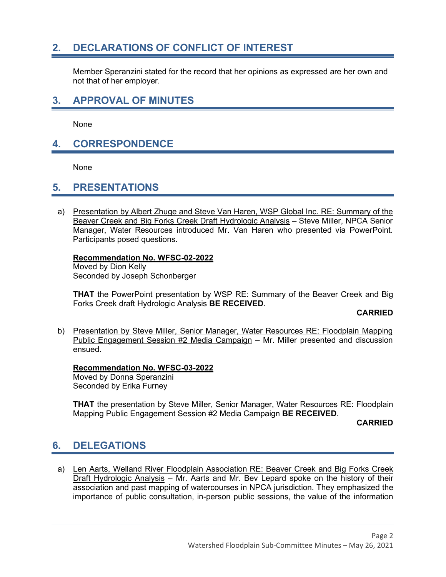### **2. DECLARATIONS OF CONFLICT OF INTEREST**

Member Speranzini stated for the record that her opinions as expressed are her own and not that of her employer.

### **3. APPROVAL OF MINUTES**

None

### **4. CORRESPONDENCE**

None

### **5. PRESENTATIONS**

a) Presentation by Albert Zhuge and Steve Van Haren, WSP Global Inc. RE: Summary of the Beaver Creek and Big Forks Creek Draft Hydrologic Analysis – Steve Miller, NPCA Senior Manager, Water Resources introduced Mr. Van Haren who presented via PowerPoint. Participants posed questions.

#### **Recommendation No. WFSC-02-2022**

Moved by Dion Kelly Seconded by Joseph Schonberger

**THAT** the PowerPoint presentation by WSP RE: Summary of the Beaver Creek and Big Forks Creek draft Hydrologic Analysis **BE RECEIVED**.

#### **CARRIED**

b) Presentation by Steve Miller, Senior Manager, Water Resources RE: Floodplain Mapping Public Engagement Session #2 Media Campaign – Mr. Miller presented and discussion ensued.

#### **Recommendation No. WFSC-03-2022**

Moved by Donna Speranzini Seconded by Erika Furney

**THAT** the presentation by Steve Miller, Senior Manager, Water Resources RE: Floodplain Mapping Public Engagement Session #2 Media Campaign **BE RECEIVED**.

**CARRIED**

# **6. DELEGATIONS**

a) Len Aarts, Welland River Floodplain Association RE: Beaver Creek and Big Forks Creek Draft Hydrologic Analysis – Mr. Aarts and Mr. Bev Lepard spoke on the history of their association and past mapping of watercourses in NPCA jurisdiction. They emphasized the importance of public consultation, in-person public sessions, the value of the information